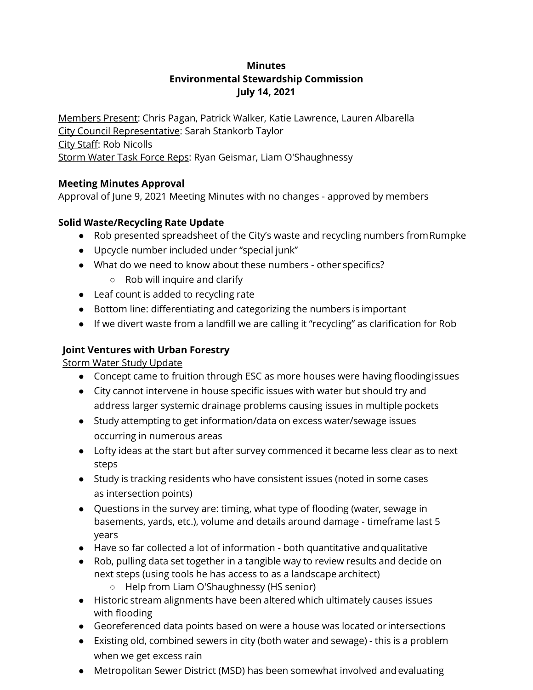## **Minutes Environmental Stewardship Commission July 14, 2021**

Members Present: Chris Pagan, Patrick Walker, Katie Lawrence, Lauren Albarella City Council Representative: Sarah Stankorb Taylor City Staff: Rob Nicolls Storm Water Task Force Reps: Ryan Geismar, Liam O'Shaughnessy

### **Meeting Minutes Approval**

Approval of June 9, 2021 Meeting Minutes with no changes - approved by members

## **Solid Waste/Recycling Rate Update**

- Rob presented spreadsheet of the City's waste and recycling numbers fromRumpke
- Upcycle number included under "special junk"
- What do we need to know about these numbers other specifics?
	- Rob will inquire and clarify
- Leaf count is added to recycling rate
- Bottom line: differentiating and categorizing the numbers is important
- If we divert waste from a landfill we are calling it "recycling" as clarification for Rob

# **Joint Ventures with Urban Forestry**

### Storm Water Study Update

- Concept came to fruition through ESC as more houses were having floodingissues
- City cannot intervene in house specific issues with water but should try and address larger systemic drainage problems causing issues in multiple pockets
- Study attempting to get information/data on excess water/sewage issues occurring in numerous areas
- Lofty ideas at the start but after survey commenced it became less clear as to next steps
- Study is tracking residents who have consistent issues (noted in some cases as intersection points)
- Questions in the survey are: timing, what type of flooding (water, sewage in basements, yards, etc.), volume and details around damage - timeframe last 5 years
- Have so far collected a lot of information both quantitative andqualitative
- Rob, pulling data set together in a tangible way to review results and decide on next steps (using tools he has access to as a landscape architect) ○ Help from Liam O'Shaughnessy (HS senior)
- Historic stream alignments have been altered which ultimately causes issues with flooding
- Georeferenced data points based on were a house was located or intersections
- Existing old, combined sewers in city (both water and sewage) this is a problem when we get excess rain
- Metropolitan Sewer District (MSD) has been somewhat involved andevaluating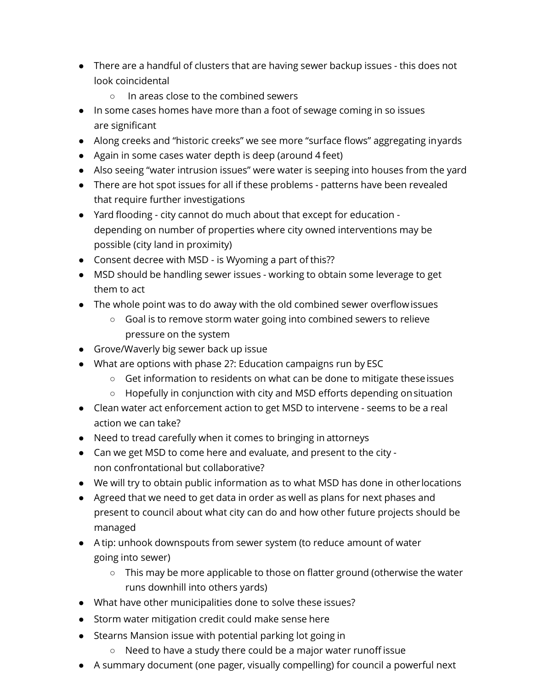- There are a handful of clusters that are having sewer backup issues this does not look coincidental
	- In areas close to the combined sewers
- In some cases homes have more than a foot of sewage coming in so issues are significant
- Along creeks and "historic creeks" we see more "surface flows" aggregating inyards
- Again in some cases water depth is deep (around 4 feet)
- Also seeing "water intrusion issues" were water is seeping into houses from the yard
- There are hot spot issues for all if these problems patterns have been revealed that require further investigations
- Yard flooding city cannot do much about that except for education depending on number of properties where city owned interventions may be possible (city land in proximity)
- Consent decree with MSD is Wyoming a part of this??
- MSD should be handling sewer issues working to obtain some leverage to get them to act
- The whole point was to do away with the old combined sewer overflow issues
	- Goal is to remove storm water going into combined sewers to relieve pressure on the system
- Grove/Waverly big sewer back up issue
- What are options with phase 2?: Education campaigns run by ESC
	- $\circ$  Get information to residents on what can be done to mitigate these issues
	- Hopefully in conjunction with city and MSD efforts depending onsituation
- Clean water act enforcement action to get MSD to intervene seems to be a real action we can take?
- Need to tread carefully when it comes to bringing in attorneys
- Can we get MSD to come here and evaluate, and present to the city non confrontational but collaborative?
- We will try to obtain public information as to what MSD has done in otherlocations
- Agreed that we need to get data in order as well as plans for next phases and present to council about what city can do and how other future projects should be managed
- A tip: unhook downspouts from sewer system (to reduce amount of water going into sewer)
	- This may be more applicable to those on flatter ground (otherwise the water runs downhill into others yards)
- What have other municipalities done to solve these issues?
- Storm water mitigation credit could make sense here
- Stearns Mansion issue with potential parking lot going in
	- Need to have a study there could be a major water runoffissue
- A summary document (one pager, visually compelling) for council a powerful next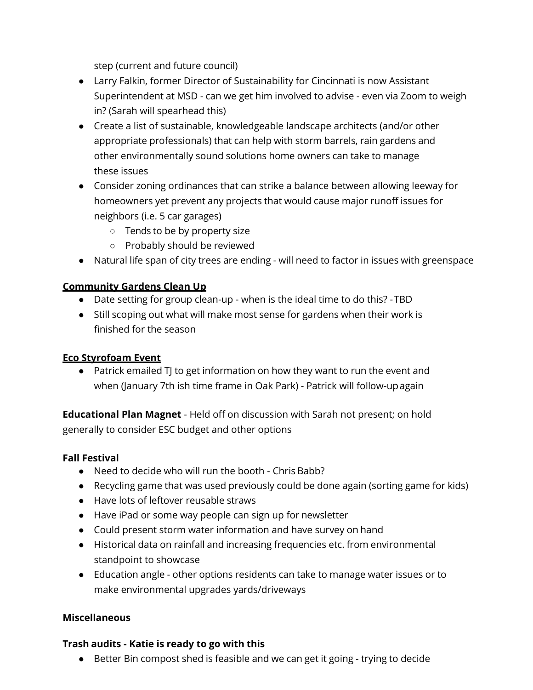step (current and future council)

- Larry Falkin, former Director of Sustainability for Cincinnati is now Assistant Superintendent at MSD - can we get him involved to advise - even via Zoom to weigh in? (Sarah will spearhead this)
- Create a list of sustainable, knowledgeable landscape architects (and/or other appropriate professionals) that can help with storm barrels, rain gardens and other environmentally sound solutions home owners can take to manage these issues
- Consider zoning ordinances that can strike a balance between allowing leeway for homeowners yet prevent any projects that would cause major runoff issues for neighbors (i.e. 5 car garages)
	- Tends to be by property size
	- Probably should be reviewed
- Natural life span of city trees are ending will need to factor in issues with greenspace

### **Community Gardens Clean Up**

- Date setting for group clean-up when is the ideal time to do this? -TBD
- Still scoping out what will make most sense for gardens when their work is finished for the season

### **Eco Styrofoam Event**

● Patrick emailed TJ to get information on how they want to run the event and when (January 7th ish time frame in Oak Park) - Patrick will follow-upagain

**Educational Plan Magnet** - Held off on discussion with Sarah not present; on hold generally to consider ESC budget and other options

### **Fall Festival**

- Need to decide who will run the booth Chris Babb?
- Recycling game that was used previously could be done again (sorting game for kids)
- Have lots of leftover reusable straws
- Have iPad or some way people can sign up for newsletter
- Could present storm water information and have survey on hand
- Historical data on rainfall and increasing frequencies etc. from environmental standpoint to showcase
- Education angle other options residents can take to manage water issues or to make environmental upgrades yards/driveways

### **Miscellaneous**

#### **Trash audits - Katie is ready to go with this**

● Better Bin compost shed is feasible and we can get it going - trying to decide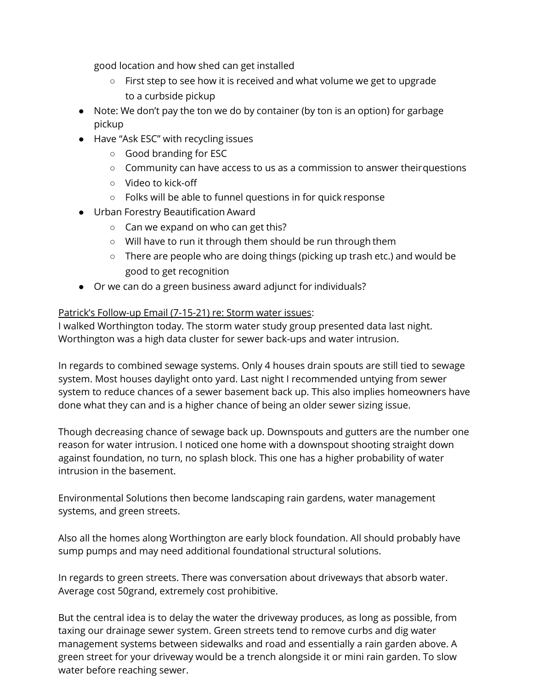good location and how shed can get installed

- First step to see how it is received and what volume we get to upgrade to a curbside pickup
- Note: We don't pay the ton we do by container (by ton is an option) for garbage pickup
- Have "Ask ESC" with recycling issues
	- Good branding for ESC
	- Community can have access to us as a commission to answer theirquestions
	- Video to kick-off
	- Folks will be able to funnel questions in for quick response
- Urban Forestry Beautification Award
	- Can we expand on who can get this?
	- Will have to run it through them should be run through them
	- There are people who are doing things (picking up trash etc.) and would be good to get recognition
- Or we can do a green business award adjunct for individuals?

### Patrick's Follow-up Email (7-15-21) re: Storm water issues:

I walked Worthington today. The storm water study group presented data last night. Worthington was a high data cluster for sewer back-ups and water intrusion.

In regards to combined sewage systems. Only 4 houses drain spouts are still tied to sewage system. Most houses daylight onto yard. Last night I recommended untying from sewer system to reduce chances of a sewer basement back up. This also implies homeowners have done what they can and is a higher chance of being an older sewer sizing issue.

Though decreasing chance of sewage back up. Downspouts and gutters are the number one reason for water intrusion. I noticed one home with a downspout shooting straight down against foundation, no turn, no splash block. This one has a higher probability of water intrusion in the basement.

Environmental Solutions then become landscaping rain gardens, water management systems, and green streets.

Also all the homes along Worthington are early block foundation. All should probably have sump pumps and may need additional foundational structural solutions.

In regards to green streets. There was conversation about driveways that absorb water. Average cost 50grand, extremely cost prohibitive.

But the central idea is to delay the water the driveway produces, as long as possible, from taxing our drainage sewer system. Green streets tend to remove curbs and dig water management systems between sidewalks and road and essentially a rain garden above. A green street for your driveway would be a trench alongside it or mini rain garden. To slow water before reaching sewer.